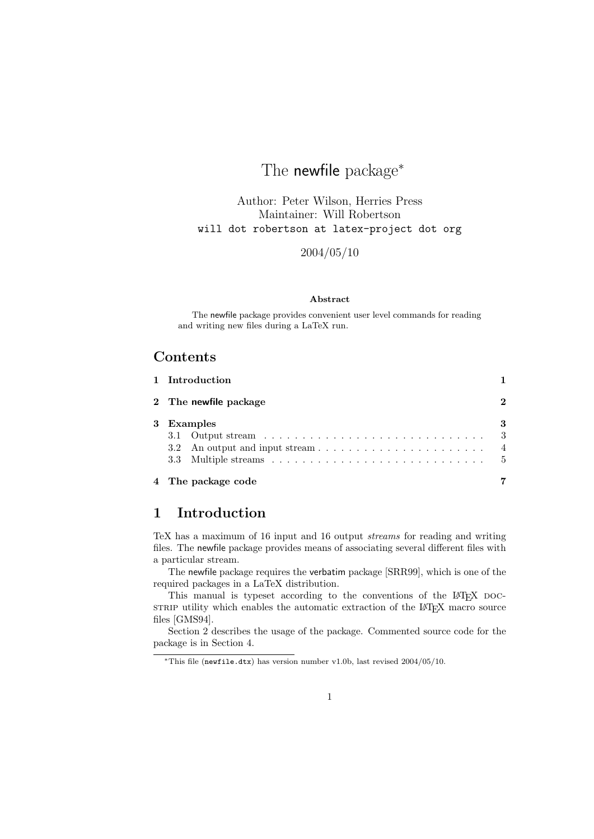# The newfile package<sup>\*</sup>

Author: Peter Wilson, Herries Press Maintainer: Will Robertson will dot robertson at latex-project dot org

2004/05/10

#### Abstract

The newfile package provides convenient user level commands for reading and writing new files during a LaTeX run.

## Contents

| 1 Introduction |  |                       |  |  |
|----------------|--|-----------------------|--|--|
|                |  | 2 The newfile package |  |  |
|                |  | 3 Examples            |  |  |
|                |  |                       |  |  |
|                |  |                       |  |  |
|                |  |                       |  |  |
|                |  |                       |  |  |

#### 4 The package code 7 7

## 1 Introduction

TeX has a maximum of 16 input and 16 output streams for reading and writing files. The newfile package provides means of associating several different files with a particular stream.

The newfile package requires the verbatim package [SRR99], which is one of the required packages in a LaTeX distribution.

This manual is typeset according to the conventions of the LAT<sub>EX</sub> DOCstrate utility which enables the automatic extraction of the LAT<sub>EX</sub> macro source files [GMS94].

Section 2 describes the usage of the package. Commented source code for the package is in Section 4.

<sup>∗</sup>This file (newfile.dtx) has version number v1.0b, last revised 2004/05/10.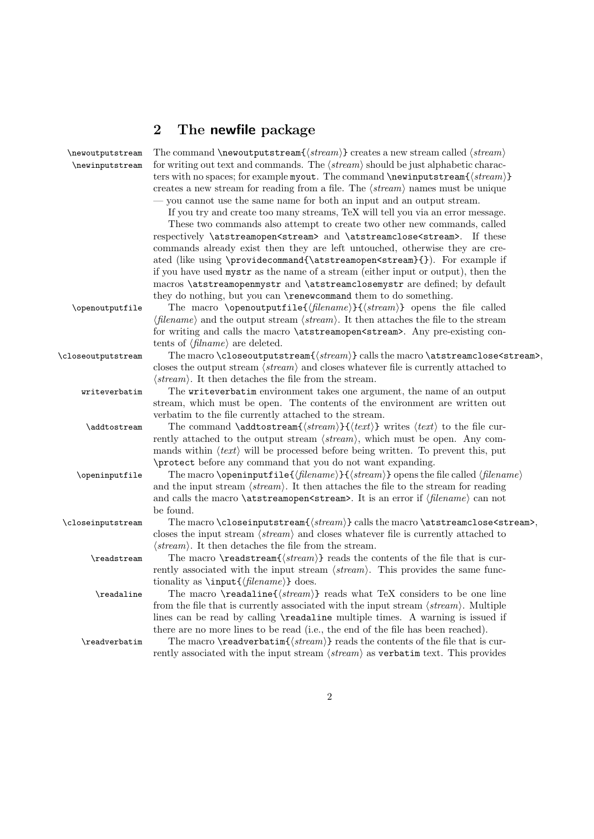## 2 The newfile package

 $\new$ autputstream The command  $\newcommand{\newcommand{\new}{t}new}$  creates a new stream called  $\newcommand{\new}{new}{t}$  $\neq$  for writing out text and commands. The  $\langle stream \rangle$  should be just alphabetic characters with no spaces; for example myout. The command \newinputstream{ $\langle stream \rangle$ } creates a new stream for reading from a file. The  $\langle stream \rangle$  names must be unique — you cannot use the same name for both an input and an output stream.

If you try and create too many streams, TeX will tell you via an error message.

These two commands also attempt to create two other new commands, called respectively \atstreamopen<stream> and \atstreamclose<stream>. If these commands already exist then they are left untouched, otherwise they are created (like using \providecommand{\atstreamopen<stream}{}). For example if if you have used mystr as the name of a stream (either input or output), then the macros \atstreamopenmystr and \atstreamclosemystr are defined; by default they do nothing, but you can \renewcommand them to do something.

\openoutputfile The macro \openoutputfile{ $\{filename\}$ } { $\{stream\}$ } opens the file called  $\langle$ filename) and the output stream  $\langle stream \rangle$ . It then attaches the file to the stream for writing and calls the macro \atstreamopen<stream>. Any pre-existing contents of  $\langle \text{filname} \rangle$  are deleted.

 $\lvert$ closeoutputstream The macro  $\lvert$ closeoutputstream $\{\langle stream\rangle\}$  calls the macro  $\lvert$ atstreamclose $\langle stream\rangle$ , closes the output stream  $\langle stream \rangle$  and closes whatever file is currently attached to  $\langle stream \rangle$ . It then detaches the file from the stream.

writeverbatim The writeverbatim environment takes one argument, the name of an output stream, which must be open. The contents of the environment are written out verbatim to the file currently attached to the stream.

\addtostream The command \addtostream{ $\{ \text{stream}\}$ }{ $\{ \text{text}\}$  writes  $\langle \text{text}\rangle$  to the file currently attached to the output stream  $\langle stream \rangle$ , which must be open. Any commands within  $\langle text \rangle$  will be processed before being written. To prevent this, put \protect before any command that you do not want expanding.

\openinputfile The macro \openinputfile{ $\{filename\}$ }  $\{stream\}$ } opens the file called  $\{filename\}$ and the input stream  $\langle stream \rangle$ . It then attaches the file to the stream for reading and calls the macro \atstreamopen <stream>. It is an error if  $\{filename\}$  can not be found.

 $\clots$  The macro  $\clots$  closeinputstream ${\langle stream \rangle}$  calls the macro  $\text{atstream}$  cose $\text{stream}$ , closes the input stream  $\langle stream \rangle$  and closes whatever file is currently attached to  $\langle stream \rangle$ . It then detaches the file from the stream.

 $\text{Preadstream}$  The macro  $\text{intername}(stream)$  reads the contents of the file that is currently associated with the input stream  $\langle stream \rangle$ . This provides the same functionality as  $\in{\{filename\}}$  does.

 $\text{Vreadaline}$  The macro  $\text{dation}\$  reads what TeX considers to be one line from the file that is currently associated with the input stream  $\langle stream \rangle$ . Multiple lines can be read by calling \readaline multiple times. A warning is issued if there are no more lines to be read (i.e., the end of the file has been reached).

 $\text{Vreadverbatin}$  The macro  $\text{setim}\{stream\}$  reads the contents of the file that is currently associated with the input stream  $\langle stream \rangle$  as verbatim text. This provides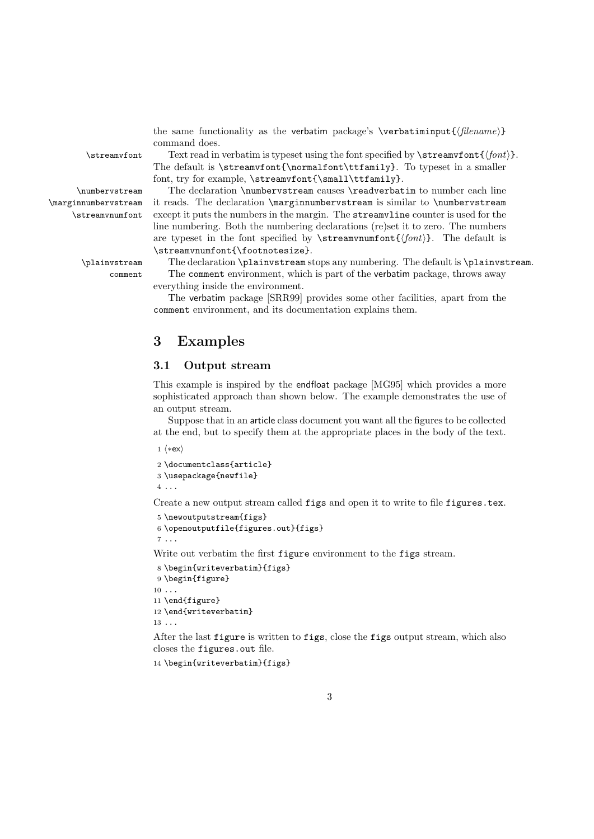the same functionality as the verbatim package's \verbatiminput{ $\{filename\}$ } command does.

 $\stream$  Text read in verbatim is typeset using the font specified by  $\stream$ font ${\font}$ . The default is \streamvfont{\normalfont\ttfamily}. To typeset in a smaller font, try for example, \streamvfont{\small\ttfamily}.

\numbervstream The declaration \numbervstream causes \readverbatim to number each line it reads. The declaration \marginnumbervstream is similar to \numbervstream except it puts the numbers in the margin. The streamvline counter is used for the line numbering. Both the numbering declarations (re)set it to zero. The numbers are typeset in the font specified by  $\stream$ reamvnumfont $\{\langle font \rangle\}$ . The default is \streamvnumfont{\footnotesize}.

\plainvstream The declaration \plainvstream stops any numbering. The default is \plainvstream. comment The comment environment, which is part of the verbatim package, throws away everything inside the environment.

> The verbatim package [SRR99] provides some other facilities, apart from the comment environment, and its documentation explains them.

## 3 Examples

#### 3.1 Output stream

This example is inspired by the endfloat package [MG95] which provides a more sophisticated approach than shown below. The example demonstrates the use of an output stream.

Suppose that in an article class document you want all the figures to be collected at the end, but to specify them at the appropriate places in the body of the text.

1  $\langle *ex \rangle$ 

2 \documentclass{article} 3 \usepackage{newfile} 4 ...

Create a new output stream called figs and open it to write to file figures.tex.

```
5 \newoutputstream{figs}
6 \openoutputfile{figures.out}{figs}
7 ...
```
Write out verbatim the first figure environment to the figs stream.

```
8 \begin{writeverbatim}{figs}
9 \begin{figure}
10 \ldots11 \end{figure}
12 \end{writeverbatim}
13 ...
```
After the last figure is written to figs, close the figs output stream, which also closes the figures.out file.

14 \begin{writeverbatim}{figs}

\marginnumbervstream \streamvnumfont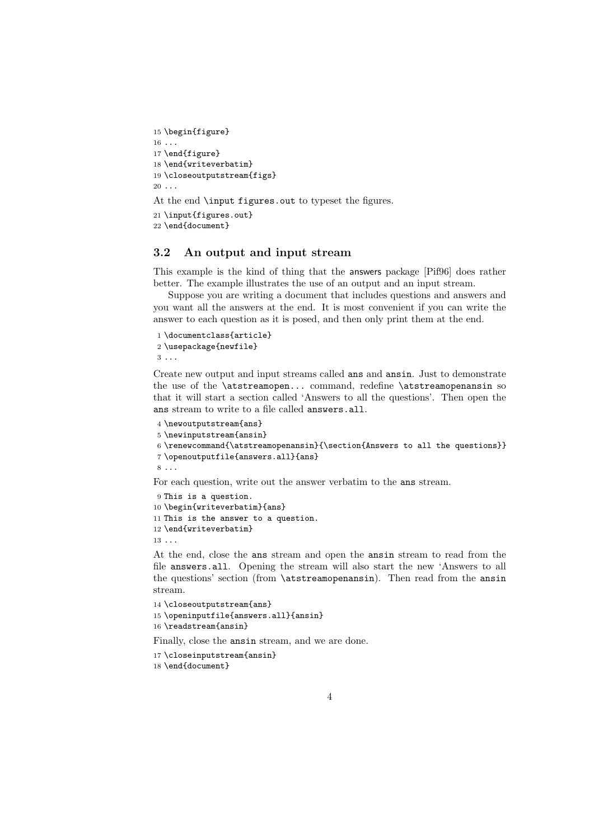```
15 \begin{figure}
16 ...
17 \end{figure}
18 \end{writeverbatim}
19 \closeoutputstream{figs}
20 \ldotsAt the end \input figures.out to typeset the figures.
21 \input{figures.out}
22 \end{document}
```
#### 3.2 An output and input stream

This example is the kind of thing that the answers package [Pif96] does rather better. The example illustrates the use of an output and an input stream.

Suppose you are writing a document that includes questions and answers and you want all the answers at the end. It is most convenient if you can write the answer to each question as it is posed, and then only print them at the end.

```
1 \documentclass{article}
2 \usepackage{newfile}
3 ...
```
Create new output and input streams called ans and ansin. Just to demonstrate the use of the \atstreamopen... command, redefine \atstreamopenansin so that it will start a section called 'Answers to all the questions'. Then open the ans stream to write to a file called answers.all.

```
4 \newoutputstream{ans}
5 \newinputstream{ansin}
6 \renewcommand{\atstreamopenansin}{\section{Answers to all the questions}}
7 \openoutputfile{answers.all}{ans}
8 ...
```
For each question, write out the answer verbatim to the ans stream.

```
9 This is a question.
10 \begin{writeverbatim}{ans}
11 This is the answer to a question.
12 \end{writeverbatim}
13 ...
```
At the end, close the ans stream and open the ansin stream to read from the file answers.all. Opening the stream will also start the new 'Answers to all the questions' section (from \atstreamopenansin). Then read from the ansin stream.

```
14 \closeoutputstream{ans}
15 \openinputfile{answers.all}{ansin}
16 \readstream{ansin}
```
Finally, close the ansin stream, and we are done.

```
17 \closeinputstream{ansin}
18 \end{document}
```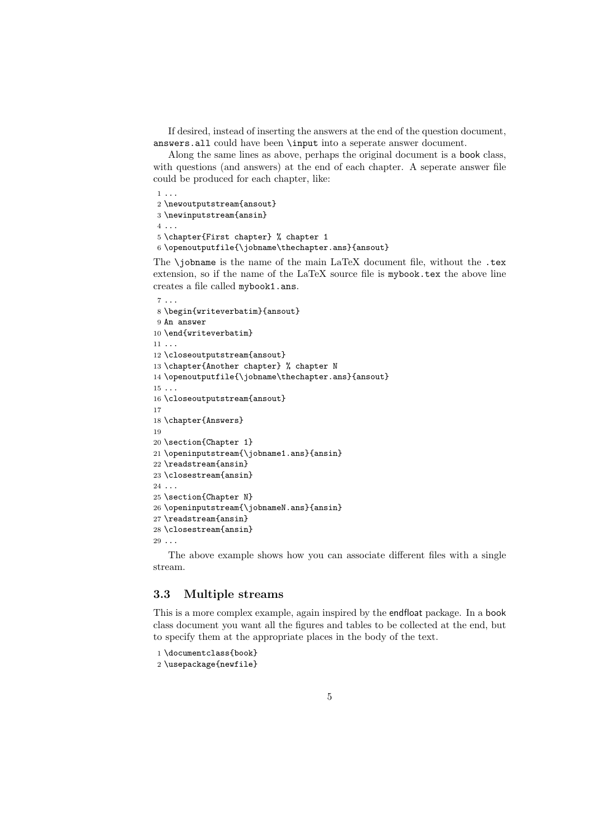If desired, instead of inserting the answers at the end of the question document, answers.all could have been \input into a seperate answer document.

Along the same lines as above, perhaps the original document is a book class, with questions (and answers) at the end of each chapter. A seperate answer file could be produced for each chapter, like:

```
1 ...
2 \newoutputstream{ansout}
3 \newinputstream{ansin}
4 ...
5 \chapter{First chapter} % chapter 1
6 \openoutputfile{\jobname\thechapter.ans}{ansout}
```
The  $\iota$  is the name of the main LaTeX document file, without the .tex extension, so if the name of the LaTeX source file is mybook.tex the above line creates a file called mybook1.ans.

```
7 ...
8 \begin{writeverbatim}{ansout}
9 An answer
10 \end{writeverbatim}
11 ...
12 \closeoutputstream{ansout}
13 \chapter{Another chapter} % chapter N
14 \openoutputfile{\jobname\thechapter.ans}{ansout}
15\, . . .
16 \closeoutputstream{ansout}
17
18 \chapter{Answers}
19
20 \section{Chapter 1}
21 \openinputstream{\jobname1.ans}{ansin}
22 \readstream{ansin}
23 \closestream{ansin}
24 \ldots25 \section{Chapter N}
26 \openinputstream{\jobnameN.ans}{ansin}
27 \readstream{ansin}
28 \closestream{ansin}
29 ...
```
The above example shows how you can associate different files with a single stream.

#### 3.3 Multiple streams

This is a more complex example, again inspired by the endfloat package. In a book class document you want all the figures and tables to be collected at the end, but to specify them at the appropriate places in the body of the text.

```
1 \documentclass{book}
```
\usepackage{newfile}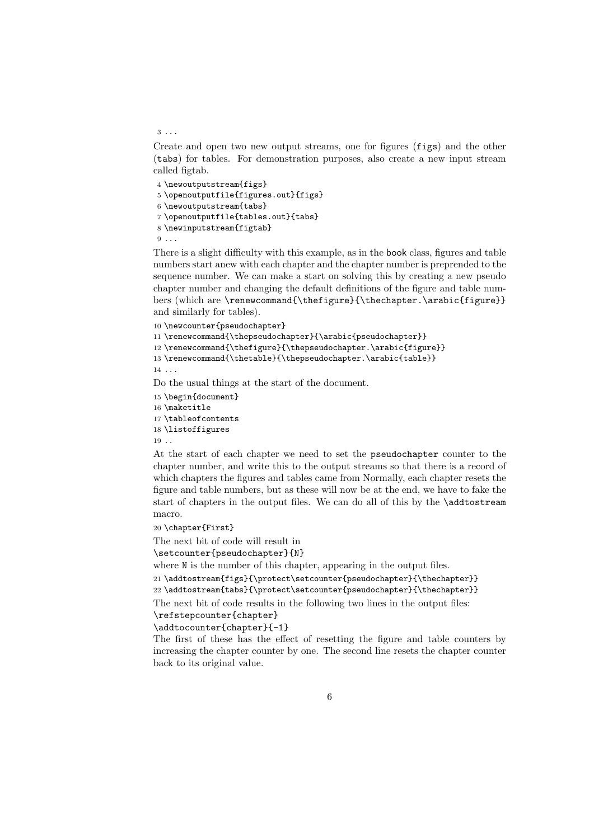#### 3 ...

Create and open two new output streams, one for figures (figs) and the other (tabs) for tables. For demonstration purposes, also create a new input stream called figtab.

 \newoutputstream{figs} \openoutputfile{figures.out}{figs} \newoutputstream{tabs} \openoutputfile{tables.out}{tabs} \newinputstream{figtab}  $9 \ldots$ 

There is a slight difficulty with this example, as in the book class, figures and table numbers start anew with each chapter and the chapter number is preprended to the sequence number. We can make a start on solving this by creating a new pseudo chapter number and changing the default definitions of the figure and table numbers (which are \renewcommand{\thefigure}{\thechapter.\arabic{figure}} and similarly for tables).

```
10 \newcounter{pseudochapter}
\label{thm:main} \verb|11 \verb|\renewcommand{}|\thepseudochapter}{\arabic{pseudochapter}\}12 \renewcommand{\thefigure}{\thepseudochapter.\arabic{figure}}
13 \renewcommand{\thetable}{\thepseudochapter.\arabic{table}}
14 ...
Do the usual things at the start of the document.
```

```
15 \begin{document}
16 \maketitle
17 \tableofcontents
18 \listoffigures
19 ..
```
At the start of each chapter we need to set the pseudochapter counter to the chapter number, and write this to the output streams so that there is a record of which chapters the figures and tables came from Normally, each chapter resets the figure and table numbers, but as these will now be at the end, we have to fake the start of chapters in the output files. We can do all of this by the \addtostream macro.

```
20 \chapter{First}
```
The next bit of code will result in

\setcounter{pseudochapter}{N}

where  $N$  is the number of this chapter, appearing in the output files.

21 \addtostream{figs}{\protect\setcounter{pseudochapter}{\thechapter}}

22 \addtostream{tabs}{\protect\setcounter{pseudochapter}{\thechapter}}

The next bit of code results in the following two lines in the output files:

#### \refstepcounter{chapter}

\addtocounter{chapter}{-1}

The first of these has the effect of resetting the figure and table counters by increasing the chapter counter by one. The second line resets the chapter counter back to its original value.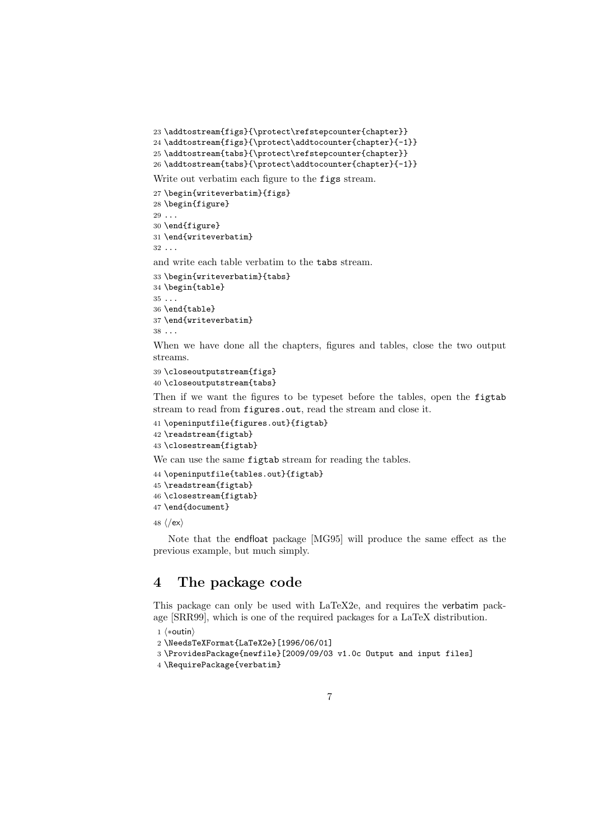```
23 \addtostream{figs}{\protect\refstepcounter{chapter}}
24 \addtostream{figs}{\protect\addtocounter{chapter}{-1}}
25 \addtostream{tabs}{\protect\refstepcounter{chapter}}
26 \addtostream{tabs}{\protect\addtocounter{chapter}{-1}}
```
Write out verbatim each figure to the figs stream.

```
27 \begin{writeverbatim}{figs}
28 \begin{figure}
29 \ldots30 \end{figure}
31 \end{writeverbatim}
32 \ldots
```
and write each table verbatim to the tabs stream.

```
33 \begin{writeverbatim}{tabs}
34 \begin{table}
35 \ldots36 \end{table}
37 \end{writeverbatim}
38 ...
```
When we have done all the chapters, figures and tables, close the two output streams.

```
39 \closeoutputstream{figs}
40 \closeoutputstream{tabs}
```
Then if we want the figures to be typeset before the tables, open the figtab stream to read from figures.out, read the stream and close it.

```
41 \openinputfile{figures.out}{figtab}
42 \readstream{figtab}
43 \closestream{figtab}
```
We can use the same figtab stream for reading the tables.

```
44 \openinputfile{tables.out}{figtab}
45 \readstream{figtab}
46 \closestream{figtab}
47 \end{document}
```
48  $\langle$ /ex $\rangle$ 

Note that the endfloat package [MG95] will produce the same effect as the previous example, but much simply.

## 4 The package code

This package can only be used with LaTeX2e, and requires the verbatim package [SRR99], which is one of the required packages for a LaTeX distribution.

```
1 \langle *outin \rangle
```

```
2 \NeedsTeXFormat{LaTeX2e}[1996/06/01]
```

```
3 \ProvidesPackage{newfile}[2009/09/03 v1.0c Output and input files]
```

```
4 \RequirePackage{verbatim}
```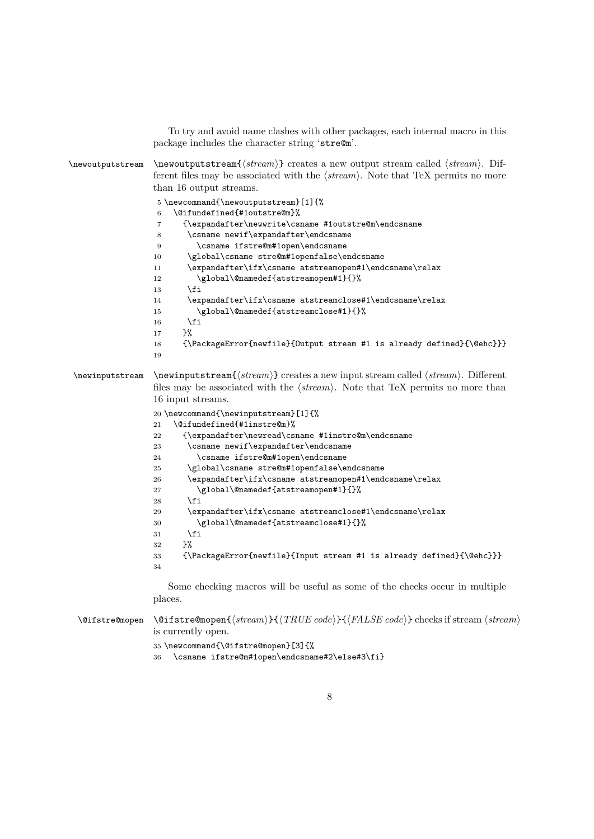To try and avoid name clashes with other packages, each internal macro in this package includes the character string 'stre@m'.

 $\newolution \newcommand{\new}{new-1} \newcommand{\new}{new-1} \newcommand{\new}{new-1} \newcommand{\new}{new-1} \newcommand{\new}{new-1} \newcommand{\new}{new-1} \newcommand{\new}{new-1} \newcommand{\new}{new-1} \newcommand{\new}{new-1} \newcommand{\new}{new-1} \newcommand{\new}{new-1} \newcommand{\new}{new-1} \newcommand{\new}{new-1} \newcommand{\new}{new-1} \newcommand{\new}{new-1} \newcommand{\new}{new-1} \newcommand{\new}{new-1} \newcommand{\new}{new-1} \newcommand{\new}{new-1} \newcommand{\new}{new}{new-1} \newcommand{\new}{new-1} \newcommand{\new$ ferent files may be associated with the  $\langle stream \rangle$ . Note that TeX permits no more than 16 output streams. \newcommand{\newoutputstream}[1]{% \@ifundefined{#1outstre@m}% {\expandafter\newwrite\csname #1outstre@m\endcsname \csname newif\expandafter\endcsname \csname ifstre@m#1open\endcsname \global\csname stre@m#1openfalse\endcsname \expandafter\ifx\csname atstreamopen#1\endcsname\relax 12 \global\@namedef{atstreamopen#1}{}% \fi \expandafter\ifx\csname atstreamclose#1\endcsname\relax \global\@namedef{atstreamclose#1}{}% \fi }% {\PackageError{newfile}{Output stream #1 is already defined}{\@ehc}}} \newinputstream \newinputstream{ $\langle stream \rangle$ } creates a new input stream called  $\langle stream \rangle$ . Different files may be associated with the  $\langle stream \rangle$ . Note that TeX permits no more than 16 input streams. \newcommand{\newinputstream}[1]{% \@ifundefined{#1instre@m}% {\expandafter\newread\csname #1instre@m\endcsname 23 \csname newif\expandafter\endcsname \csname ifstre@m#1open\endcsname \global\csname stre@m#1openfalse\endcsname \expandafter\ifx\csname atstreamopen#1\endcsname\relax 27 \global\@namedef{atstreamopen#1}{}% 28  $\forall$ fi \expandafter\ifx\csname atstreamclose#1\endcsname\relax \global\@namedef{atstreamclose#1}{}% \fi  $32 \frac{\cancel{10}}{32}$  {\PackageError{newfile}{Input stream #1 is already defined}{\@ehc}}} Some checking macros will be useful as some of the checks occur in multiple places.  $\left\{\frac{s}{RUE code}\right\}$  ( $\left\{RUE code\right\}$  checks if stream  $\left\{stream\right\}$ is currently open.

```
35 \newcommand{\@ifstre@mopen}[3]{%
```

```
36 \csname ifstre@m#1open\endcsname#2\else#3\fi}
```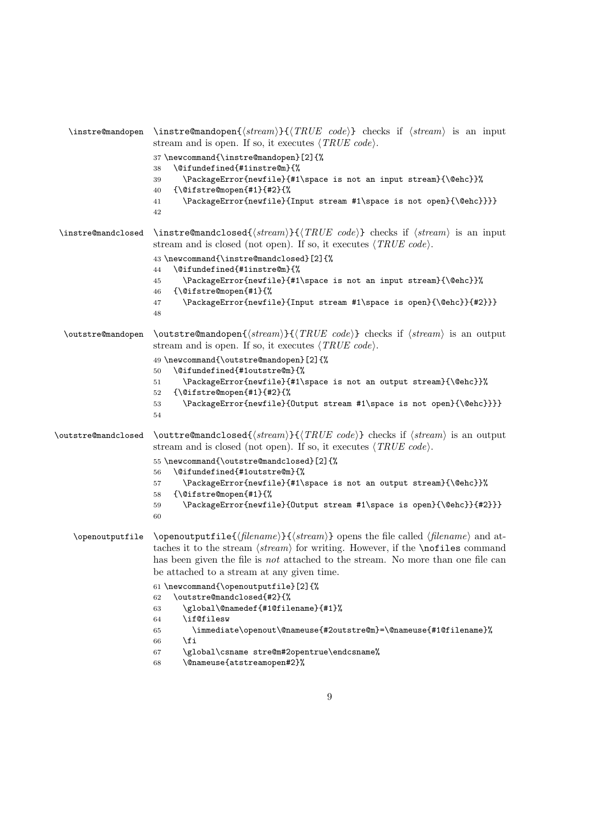| $\in$ emandopen     | \instre@mandopen $\{\text{stream}\}\{\text{TRUE code}\}$ checks if $\text{stream}\$ is an input<br>stream and is open. If so, it executes $\langle \text{TRUE code} \rangle$ .<br>37 \newcommand{\instre@mandopen}[2]{%<br>\@ifundefined{#1instre@m}{%<br>38<br>\PackageError{newfile}{#1\space is not an input stream}{\@ehc}}%<br>39<br>${\{\verb \@ifstre@mopen{#1}{#2}\$\}}$<br>40<br>\PackageError{newfile}{Input stream #1\space is not open}{\@ehc}}}}<br>41<br>42                                                                                                                                                                                                  |
|---------------------|----------------------------------------------------------------------------------------------------------------------------------------------------------------------------------------------------------------------------------------------------------------------------------------------------------------------------------------------------------------------------------------------------------------------------------------------------------------------------------------------------------------------------------------------------------------------------------------------------------------------------------------------------------------------------|
| \instre@mandclosed  | \instre@mandclosed{ $\{stream\}$ }{ $\{TRUE \ code\}$ checks if $\langle stream \rangle$ is an input<br>stream and is closed (not open). If so, it executes $\langle TRUE \ code \rangle$ .<br>43 \newcommand{\instre@mandclosed}[2]{%<br>\@ifundefined{#1instre@m}{%<br>44<br>\PackageError{newfile}{#1\space is not an input stream}{\@ehc}}%<br>45<br>${\{\verb \@ifstre@mopen{#1}\}{}_{\lambda}^{\sigma}}$<br>46<br>\PackageError{newfile}{Input stream #1\space is open}{\@ehc}}{#2}}}<br>47<br>48                                                                                                                                                                    |
| \outstre@mandopen   | $\texttt{counterGamma}(\text{stream})\{\text{TRUE code}\}\$ checks if $\text{stream}$ is an output<br>stream and is open. If so, it executes $\langle TRUE \ code \rangle$ .<br>49 \newcommand{\outstre@mandopen}[2]{%<br>\@ifundefined{#1outstre@m}{%<br>50<br>\PackageError{newfile}{#1\space is not an output stream}{\@ehc}}%<br>51<br>${\{\verb \@ifstre@mopen{#1}{#2}\$\}}$<br>52<br>\PackageError{newfile}{Output stream #1\space is not open}{\@ehc}}}}<br>53<br>54                                                                                                                                                                                                |
| \outstre@mandclosed | \outtre@mandclosed{ $\langle stream \rangle$ }{ $\langle TRUE \ code \rangle$ } checks if $\langle stream \rangle$ is an output<br>stream and is closed (not open). If so, it executes $\langle TRUE \ code \rangle$ .<br>55 \newcommand{\outstre@mandclosed}[2]{%<br>\@ifundefined{#1outstre@m}{%<br>56<br>\PackageError{newfile}{#1\space is not an output stream}{\@ehc}}%<br>57<br>{\@ifstre@mopen{#1}{%<br>58<br>\PackageError{newfile}{Output stream #1\space is open}{\@ehc}}{#2}}}<br>59<br>60                                                                                                                                                                     |
| \openoutputfile     | \openoutputfile{ $\{filename\}$ }{ $\{stream\}$ } opens the file called $\{filename\}$ and at-<br>taches it to the stream $\langle stream \rangle$ for writing. However, if the <b>\nofiles</b> command<br>has been given the file is <i>not</i> attached to the stream. No more than one file can<br>be attached to a stream at any given time.<br>61 \newcommand{\openoutputfile}[2]{%<br>\outstre@mandclosed{#2}{%<br>62<br>\global\@namedef{#1@filename}{#1}%<br>63<br>\if@filesw<br>64<br>\immediate\openout\@nameuse{#2outstre@m}=\@nameuse{#1@filename}%<br>65<br>\fi<br>66<br>\global\csname stre@m#2opentrue\endcsname%<br>67<br>\@nameuse{atstreamopen#2}%<br>68 |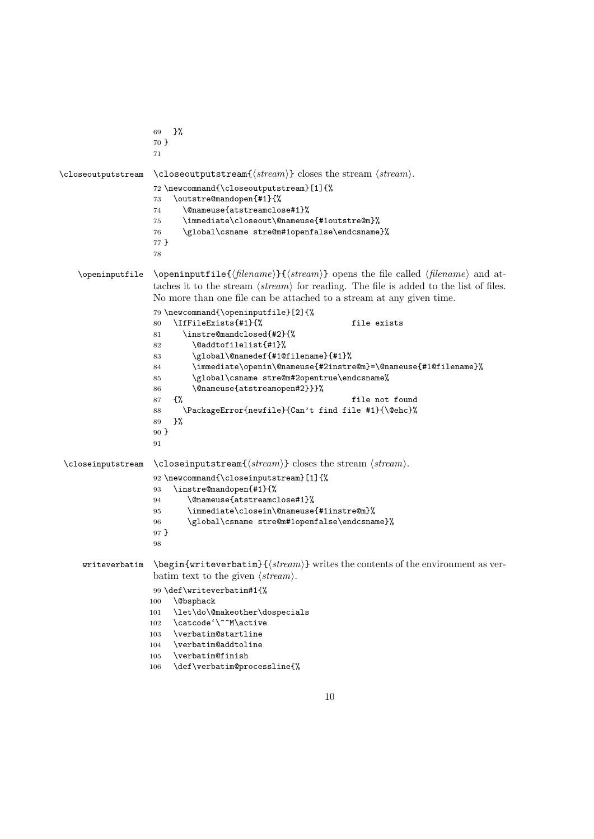```
69 }%
                   70 }
                   71
\closeoutputstream \closeoutputstream{\langle stream \rangle} closes the stream \langle stream \rangle.
                   72 \newcommand{\closeoutputstream}[1]{%
                   73 \outstre@mandopen{#1}{%
                   74 \@nameuse{atstreamclose#1}%
                   75 \immediate\closeout\@nameuse{#1outstre@m}%
                   76 \global\csname stre@m#1openfalse\endcsname}%
                   77 }
                   78
   \openinputfile \openinputfile{\{filename\}} opens the file called \{filename\} and at-
                   taches it to the stream \langle stream \rangle for reading. The file is added to the list of files.
                   No more than one file can be attached to a stream at any given time.
                   79 \newcommand{\openinputfile}[2]{%
                   80 \IfFileExists{#1}{% file exists
                   81 \instre@mandclosed{#2}{%
                   82 \@addtofilelist{#1}%
                   83 \global\@namedef{#1@filename}{#1}%
                   84 \immediate\openin\@nameuse{#2instre@m}=\@nameuse{#1@filename}%
                   85 \global\csname stre@m#2opentrue\endcsname%
                   86 \@nameuse{atstreamopen#2}}}%
                   87 \{ \%88 \PackageError{newfile}{Can't find file #1}{\@ehc}%
                   89 }%
                   90 }
                   91
\closeinputstream \closeinputstream{\langle stream \rangle} closes the stream \langle stream \rangle.
                   92 \newcommand{\closeinputstream}[1]{%
                   93 \instre@mandopen{#1}{%
                   94 \@nameuse{atstreamclose#1}%
                   95 \immediate\closein\@nameuse{#1instre@m}%
                   96 \global\csname stre@m#1openfalse\endcsname}%
                   97 }
                   98
    writeverbatim \begin{writeverbatim} {\langle stream \rangle} writes the contents of the environment as ver-
                   batim text to the given \langle stream \rangle.
                   99 \def\writeverbatim#1{%
                   100 \@bsphack
                   101 \let\do\@makeother\dospecials
                   102 \catcode'\^^M\active
                   103 \verbatim@startline
                   104 \verbatim@addtoline
                   105 \verbatim@finish
                   106 \def\verbatim@processline{%
```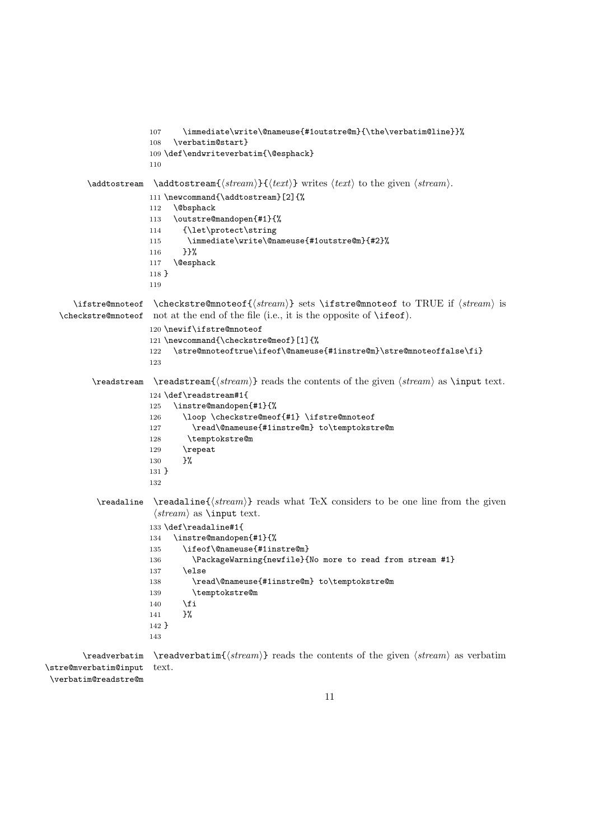```
107 \immediate\write\@nameuse{#1outstre@m}{\the\verbatim@line}}%
                       108 \verbatim@start}
                       109 \def\endwriteverbatim{\@esphack}
                       110
         \addots \addto stream{\stream}{text} writes \text{ } to the given \text{ }.
                       111 \newcommand{\addtostream}[2]{%
                       112 \@bsphack
                       113 \outstre@mandopen{#1}{%
                       114 {\let\protect\string
                       115 \immediate\write\@nameuse{#1outstre@m}{#2}%
                       116 }}%
                       117 \@esphack
                       118 }
                       119
      \ifstre@mnoteof \checkstre@mnoteof{\langle stream \rangle} sets \ifstre@mnoteof to TRUE if \langle stream \rangle is
   \checkstre@mnoteof
not at the end of the file (i.e., it is the opposite of \ifeof).
                       120 \newif\ifstre@mnoteof
                       121 \newcommand{\checkstre@meof}[1]{%
                       122 \stre@mnoteoftrue\ifeof\@nameuse{#1instre@m}\stre@mnoteoffalse\fi}
                       123
          \text{treatment}(stream) reads the contents of the given (stream) as \input text.124 \def\readstream#1{
                       125 \instre@mandopen{#1}{%
                       126 \loop \checkstre@meof{#1} \ifstre@mnoteof
                       127 \read\@nameuse{#1instre@m} to\temptokstre@m
                       128 \temptokstre@m
                       129 \repeat
                       130 }%
                       131 }
                       132
           \text{Vreadaline } \text{ \textit{stream} } \text{ reads what } \text{TeX} \text{ considers to be one line from the given}\langle stream \rangle as \input text.
                       133 \def\readaline#1{
                       134 \instre@mandopen{#1}{%
                       135 \ifeof\@nameuse{#1instre@m}
                       136 \PackageWarning{newfile}{No more to read from stream #1}
                       137 \else
                       138 \read\@nameuse{#1instre@m} to\temptokstre@m
                       139 \temptokstre@m
                       140 \overrightarrow{fi}141 }%
                       142 }
                       143
        \readverbatim \readverbatim{\langle stream \rangle} reads the contents of the given \langle stream \rangle as verbatim
\stre@mverbatim@input
                       text.
```
\verbatim@readstre@m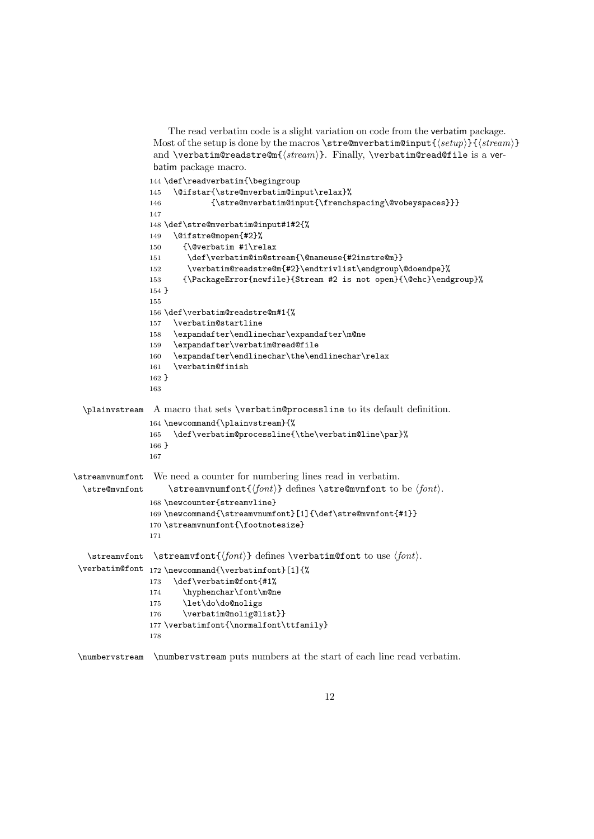```
The read verbatim code is a slight variation on code from the verbatim package.
                 Most of the setup is done by the macros \stre@mverbatim@input{\langle setup \rangle}{\langle stream \rangle}
                 and \verbatim@readstre@m{\langle stream \rangle}. Finally, \verbatim@read@file is a ver-
                 batim package macro.
                144 \def\readverbatim{\begingroup
                145 \@ifstar{\stre@mverbatim@input\relax}%
                146 {\stre@mverbatim@input{\frenchspacing\@vobeyspaces}}}
                147
                148 \def\stre@mverbatim@input#1#2{%
                149 \@ifstre@mopen{#2}%
                150 {\@verbatim #1\relax
                151 \def\verbatim@in@stream{\@nameuse{#2instre@m}}
                152 \verbatim@readstre@m{#2}\endtrivlist\endgroup\@doendpe}%
                153 {\PackageError{newfile}{Stream #2 is not open}{\@ehc}\endgroup}%
                154 }
                155
                156 \def\verbatim@readstre@m#1{%
                157 \verbatim@startline
                158 \expandafter\endlinechar\expandafter\m@ne
                159 \expandafter\verbatim@read@file
                160 \expandafter\endlinechar\the\endlinechar\relax
                161 \verbatim@finish
                162 }
                163
 \plainvstream A macro that sets \verbatim@processline to its default definition.
                164 \newcommand{\plainvstream}{%
                165 \def\verbatim@processline{\the\verbatim@line\par}%
                166 }
                167
\streamvnumfont
We need a counter for numbering lines read in verbatim.
 \stre@mvnfont
                    \langle \streamvnumfont{\langle font \rangle} defines \stre@mvnfont to be \langle font \rangle.
                168 \newcounter{streamvline}
                169 \newcommand{\streamvnumfont}[1]{\def\stre@mvnfont{#1}}
                170 \streamvnumfont{\footnotesize}
                171
   \streamvfont
\streamvfont{hfonti} defines \verbatim@font to use hfonti.
 \verbatim@font
172 \newcommand{\verbatimfont}[1]{%
                173 \def\verbatim@font{#1%
                174 \hyphenchar\font\m@ne
                175 \let\do\do@noligs
                176 \verbatim@nolig@list}}
                177 \verbatimfont{\normalfont\ttfamily}
                178
```
\numbervstream \numbervstream puts numbers at the start of each line read verbatim.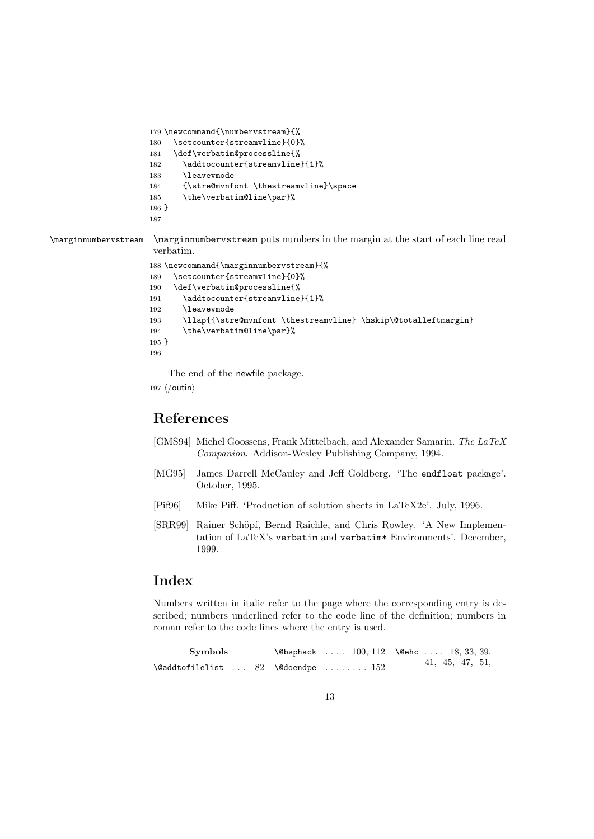```
179 \newcommand{\numbervstream}{%
180 \setcounter{streamvline}{0}%
181 \def\verbatim@processline{%
182 \addtocounter{streamvline}{1}%
183 \leavevmode
184 {\stre@mvnfont \thestreamvline}\space
185 \the\verbatim@line\par}%
186 }
187
```
\marginnumbervstream \marginnumbervstream puts numbers in the margin at the start of each line read verbatim.

```
188 \newcommand{\marginnumbervstream}{%
189 \setcounter{streamvline}{0}%
190 \def\verbatim@processline{%
191 \addtocounter{streamvline}{1}%
192 \leavevmode
193 \llap{{\stre@mvnfont \thestreamvline} \hskip\@totalleftmargin}
194 \the\verbatim@line\par}%
195 }
196
```
The end of the newfile package.

197  $\langle$ /outin $\rangle$ 

## References

- [GMS94] Michel Goossens, Frank Mittelbach, and Alexander Samarin. The LaTeX Companion. Addison-Wesley Publishing Company, 1994.
- [MG95] James Darrell McCauley and Jeff Goldberg. 'The endfloat package'. October, 1995.
- [Pif96] Mike Piff. 'Production of solution sheets in LaTeX2e'. July, 1996.
- [SRR99] Rainer Schöpf, Bernd Raichle, and Chris Rowley. 'A New Implementation of LaTeX's verbatim and verbatim\* Environments'. December, 1999.

### Index

Numbers written in italic refer to the page where the corresponding entry is described; numbers underlined refer to the code line of the definition; numbers in roman refer to the code lines where the entry is used.

| Symbols                                              |  | $\Theta$ \ebsphack  100, 112 \eehc  18, 33, 39, |  |
|------------------------------------------------------|--|-------------------------------------------------|--|
| $\Diamond$ addtofilelist  82 $\Diamond$ doendpe  152 |  | 41, 45, 47, 51,                                 |  |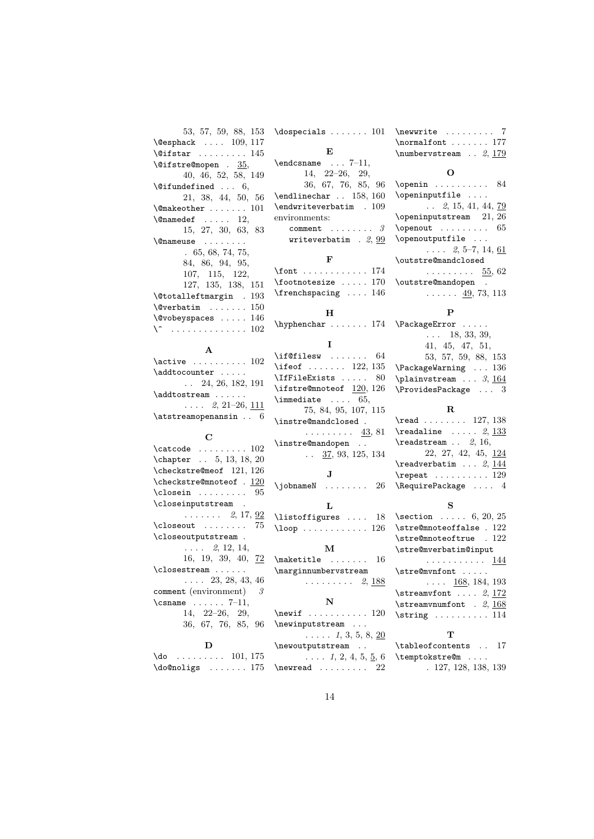| 53, 57, 59, 88, 153                            | $\text{logpecials} \dots 101$                            | $\neq$ 7                                       |
|------------------------------------------------|----------------------------------------------------------|------------------------------------------------|
| $\text{Qesphack} \dots 109, 117$               |                                                          | $\normalfont \ldots \ldots \space 177$         |
| $\text{Qifstar} \dots \dots \dots 145$         | Е                                                        | \numbervstream $\ldots$ 2, 179                 |
| $\texttt{{\char'136}l}$ . 35,                  | $\end{math}$ $7-11$ ,                                    | O                                              |
| 40, 46, 52, 58, 149                            | $14, 22-26, 29,$                                         |                                                |
| $\text{^\{0}$ ifundefined $6,$                 | 36, 67, 76, 85, 96                                       |                                                |
| 21, 38, 44, 50, 56                             | $\end{line}$ 158, 160                                    | \openinputfile                                 |
| $\{\mathsf{Qmakeother}\,\dots\,\dots\,\,101\}$ | $\end{writeverbatin}$ . 109                              | $\ldots$ 2, 15, 41, 44, 79                     |
| $\{\Omega, 12, \ldots, 12\}$                   | environments:                                            | $\epsilon$ 21, 26                              |
| 15, 27, 30, 63, 83                             | $comment \dots \dots$<br>3                               | \openout<br>65                                 |
| <i>\</i> @nameuse                              | writeverbatim $. 2, 99$                                  | \openoutputfile                                |
| .65, 68, 74, 75,                               |                                                          | $\ldots$ 2, 5–7, 14, 61                        |
| 84, 86, 94, 95,                                | F                                                        | \outstre@mandclosed                            |
| 107, 115, 122,                                 | \font $174$                                              | $\cdots \cdots \cdots$ 55, 62                  |
| 127, 135, 138, 151                             | $\setminus$ footnotesize  170                            | \outstre@mandopen .                            |
| $\texttt{\texttt{[Cttmargin]}.193}$            | $\frac{5}{16}$ 146                                       | $\ldots \ldots$ 49, 73, 113                    |
| $\sqrt{$ <i>Q</i> verbatim  150                |                                                          |                                                |
| $\text{Vovobeyspaces} \dots 146$               | н                                                        | P                                              |
| $\setminus$ 102                                | \hyphenchar  174 \PackageError                           |                                                |
|                                                |                                                          | $\ldots$ 18, 33, 39,                           |
| A                                              | 1                                                        | 41, 45, 47, 51,                                |
| $\text{Active} \dots \dots \dots 102$          | $\left\{\right.\left\ \right\ $ 64                       | 53, 57, 59, 88, 153                            |
| \addtocounter                                  | \ifeof $122, 135$                                        | $\text{Packag}$ Warning  136                   |
| $\ldots$ 24, 26, 182, 191                      | \IfFileExists<br>80                                      | $\alpha$ 3, 164                                |
| \addtostream                                   | \ifstre@mnoteof 120, 126                                 | $\ProvidesPackage  3$                          |
| $\ldots$ 2, 21-26, <u>111</u>                  | $\lambda$ immediate  65,                                 |                                                |
|                                                | 75, 84, 95, 107, 115                                     | $\mathbf R$                                    |
|                                                |                                                          |                                                |
| $\texttt{lattreamopenansin} \dots 6$           | \instre@mandclosed.                                      | $\verb+\read+\dots+127, 138$                   |
|                                                | $\ldots \ldots \ldots$ 43, 81                            | $\texttt{readaline} \dots 2, 133$              |
| С                                              | \instre@mandopen                                         | $\texttt{readstream} \dots 2, 16,$             |
| $\texttt{\textbackslash}$                      | $\ldots$ 37, 93, 125, 134                                | $22, 27, 42, 45, \underline{124}$              |
| \chapter $\ldots$ 5, 13, 18, 20                |                                                          | $\texttt{readverbatim} \dots 2, 144$           |
| $\text{checkstream}$ 121, 126                  | J                                                        | $\text{repeat} \dots \dots \dots 129$          |
| \checkstre@mnoteof . 120                       | $\lambda$ jobname $\mathbb N$ 26                         | $\lambda$ 4                                    |
| 95                                             |                                                          |                                                |
| \closeinputstream .                            | L                                                        | S                                              |
| $\ldots \ldots 2, 17, 92$                      | \listoffigures  18                                       | \section $\ldots$ 6, 20, 25                    |
| $\clot$ oseout<br>75                           | $\lambda$ 200p 126                                       | \stre@mnoteoffalse . 122                       |
| \closeoutputstream .                           |                                                          | \stre@mnoteoftrue . 122                        |
| $\ldots$ 2, 12, 14,                            | м                                                        | \stre@mverbatim@input                          |
|                                                | 16, 19, 39, 40, $\frac{72}{2} \text{backtitle} \dots 16$ | . <u>144</u>                                   |
|                                                | \closestream  \marginnumbervstream                       | $\setminus$ stre@mvnfont                       |
| $\ldots$ 23, 28, 43, 46                        | . 2, <u>188</u>                                          | $\ldots$ 168, 184, 193                         |
| comment (environment)<br>3                     |                                                          | $\setminus$ streamvfont $2, 172$               |
| $\{\text{csname} \dots \dots \ 7-11,$          | N                                                        | $\text{streamvnumfont}$ . 2, $\frac{168}{168}$ |
| 14, 22-26, 29,                                 | $\neq$ 120                                               | $\strut\text{string}$ 114                      |
| 36, 67, 76, 85, 96                             | \newinputstream                                          |                                                |
|                                                | $\ldots$ $1, 3, 5, 8, 20$                                | T                                              |
| D                                              | \newoutputstream                                         | \tableofcontents  17                           |
| \do $\dots$ 101, 175                           | $\ldots$ 1, 2, 4, 5, 5, 6                                | \temptokstre@m                                 |
| $\lambda$ do@noligs  175                       | 22                                                       | . 127, 128, 138, 139                           |

## 14